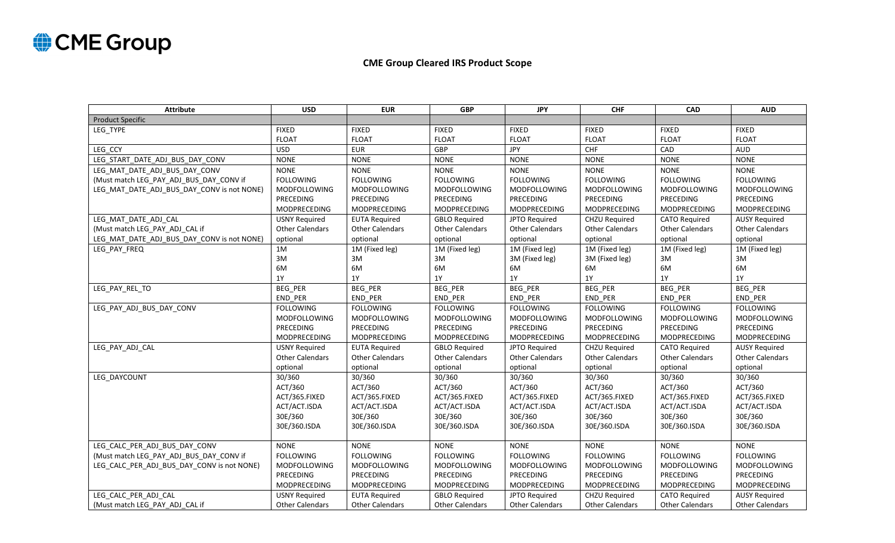

## **CME Group Cleared IRS Product Scope**

| <b>Attribute</b>                           | <b>USD</b>             | <b>EUR</b>             | <b>GBP</b>             | <b>JPY</b>             | <b>CHF</b>             | <b>CAD</b>             | <b>AUD</b>             |
|--------------------------------------------|------------------------|------------------------|------------------------|------------------------|------------------------|------------------------|------------------------|
| <b>Product Specific</b>                    |                        |                        |                        |                        |                        |                        |                        |
| LEG TYPE                                   | <b>FIXED</b>           | <b>FIXED</b>           | <b>FIXED</b>           | <b>FIXED</b>           | <b>FIXED</b>           | <b>FIXED</b>           | <b>FIXED</b>           |
|                                            | <b>FLOAT</b>           | <b>FLOAT</b>           | <b>FLOAT</b>           | <b>FLOAT</b>           | <b>FLOAT</b>           | <b>FLOAT</b>           | <b>FLOAT</b>           |
| LEG CCY                                    | <b>USD</b>             | <b>EUR</b>             | <b>GBP</b>             | <b>JPY</b>             | CHF                    | CAD                    | <b>AUD</b>             |
| LEG START DATE ADJ BUS DAY CONV            | <b>NONE</b>            | <b>NONE</b>            | <b>NONE</b>            | <b>NONE</b>            | <b>NONE</b>            | <b>NONE</b>            | <b>NONE</b>            |
| LEG MAT DATE ADJ BUS DAY CONV              | <b>NONE</b>            | <b>NONE</b>            | <b>NONE</b>            | <b>NONE</b>            | <b>NONE</b>            | <b>NONE</b>            | <b>NONE</b>            |
| (Must match LEG_PAY_ADJ_BUS_DAY_CONV if    | <b>FOLLOWING</b>       | <b>FOLLOWING</b>       | <b>FOLLOWING</b>       | <b>FOLLOWING</b>       | <b>FOLLOWING</b>       | <b>FOLLOWING</b>       | <b>FOLLOWING</b>       |
| LEG_MAT_DATE_ADJ_BUS_DAY_CONV is not NONE) | <b>MODFOLLOWING</b>    | <b>MODFOLLOWING</b>    | MODFOLLOWING           | <b>MODFOLLOWING</b>    | <b>MODFOLLOWING</b>    | <b>MODFOLLOWING</b>    | MODFOLLOWING           |
|                                            | PRECEDING              | PRECEDING              | PRECEDING              | PRECEDING              | PRECEDING              | PRECEDING              | PRECEDING              |
|                                            | MODPRECEDING           | <b>MODPRECEDING</b>    | MODPRECEDING           | MODPRECEDING           | MODPRECEDING           | MODPRECEDING           | <b>MODPRECEDING</b>    |
| LEG_MAT_DATE_ADJ_CAL                       | <b>USNY Required</b>   | <b>EUTA Required</b>   | <b>GBLO Required</b>   | JPTO Required          | <b>CHZU Required</b>   | <b>CATO Required</b>   | <b>AUSY Required</b>   |
| (Must match LEG_PAY_ADJ_CAL if             | <b>Other Calendars</b> | <b>Other Calendars</b> | <b>Other Calendars</b> | <b>Other Calendars</b> | <b>Other Calendars</b> | <b>Other Calendars</b> | <b>Other Calendars</b> |
| LEG MAT DATE ADJ BUS DAY CONV is not NONE) | optional               | optional               | optional               | optional               | optional               | optional               | optional               |
| LEG_PAY_FREQ                               | 1M                     | 1M (Fixed leg)         | 1M (Fixed leg)         | 1M (Fixed leg)         | 1M (Fixed leg)         | 1M (Fixed leg)         | 1M (Fixed leg)         |
|                                            | 3M                     | 3M                     | 3M                     | 3M (Fixed leg)         | 3M (Fixed leg)         | 3M                     | 3M                     |
|                                            | 6M                     | 6M                     | 6M                     | 6M                     | 6M                     | 6M                     | 6M                     |
|                                            | 1Y                     | <b>1Y</b>              | 1Y                     | 1Y                     | 1Y                     | 1Y                     | 1Y                     |
| LEG_PAY_REL_TO                             | BEG_PER                | BEG_PER                | BEG_PER                | BEG_PER                | BEG_PER                | BEG_PER                | BEG_PER                |
|                                            | END_PER                | END PER                | END PER                | END PER                | END PER                | END PER                | END PER                |
| LEG_PAY_ADJ_BUS_DAY_CONV                   | <b>FOLLOWING</b>       | <b>FOLLOWING</b>       | <b>FOLLOWING</b>       | <b>FOLLOWING</b>       | <b>FOLLOWING</b>       | <b>FOLLOWING</b>       | <b>FOLLOWING</b>       |
|                                            | <b>MODFOLLOWING</b>    | <b>MODFOLLOWING</b>    | <b>MODFOLLOWING</b>    | MODFOLLOWING           | <b>MODFOLLOWING</b>    | <b>MODFOLLOWING</b>    | <b>MODFOLLOWING</b>    |
|                                            | PRECEDING              | PRECEDING              | PRECEDING              | PRECEDING              | PRECEDING              | PRECEDING              | PRECEDING              |
|                                            | MODPRECEDING           | <b>MODPRECEDING</b>    | MODPRECEDING           | MODPRECEDING           | <b>MODPRECEDING</b>    | <b>MODPRECEDING</b>    | MODPRECEDING           |
| LEG PAY ADJ CAL                            | <b>USNY Required</b>   | <b>EUTA Required</b>   | <b>GBLO Required</b>   | JPTO Required          | CHZU Required          | <b>CATO Required</b>   | <b>AUSY Required</b>   |
|                                            | <b>Other Calendars</b> | <b>Other Calendars</b> | <b>Other Calendars</b> | <b>Other Calendars</b> | <b>Other Calendars</b> | <b>Other Calendars</b> | <b>Other Calendars</b> |
|                                            | optional               | optional               | optional               | optional               | optional               | optional               | optional               |
| LEG_DAYCOUNT                               | 30/360                 | 30/360                 | 30/360                 | 30/360                 | 30/360                 | 30/360                 | 30/360                 |
|                                            | ACT/360                | ACT/360                | ACT/360                | ACT/360                | ACT/360                | ACT/360                | ACT/360                |
|                                            | ACT/365.FIXED          | ACT/365.FIXED          | ACT/365.FIXED          | ACT/365.FIXED          | ACT/365.FIXED          | ACT/365.FIXED          | ACT/365.FIXED          |
|                                            | ACT/ACT.ISDA           | ACT/ACT.ISDA           | ACT/ACT.ISDA           | ACT/ACT.ISDA           | ACT/ACT.ISDA           | ACT/ACT.ISDA           | ACT/ACT.ISDA           |
|                                            | 30E/360                | 30E/360                | 30E/360                | 30E/360                | 30E/360                | 30E/360                | 30E/360                |
|                                            | 30E/360.ISDA           | 30E/360.ISDA           | 30E/360.ISDA           | 30E/360.ISDA           | 30E/360.ISDA           | 30E/360.ISDA           | 30E/360.ISDA           |
|                                            |                        |                        |                        |                        |                        |                        |                        |
| LEG CALC PER ADJ BUS DAY CONV              | <b>NONE</b>            | <b>NONE</b>            | <b>NONE</b>            | <b>NONE</b>            | <b>NONE</b>            | <b>NONE</b>            | <b>NONE</b>            |
| (Must match LEG PAY ADJ BUS DAY CONV if    | <b>FOLLOWING</b>       | <b>FOLLOWING</b>       | <b>FOLLOWING</b>       | <b>FOLLOWING</b>       | <b>FOLLOWING</b>       | <b>FOLLOWING</b>       | <b>FOLLOWING</b>       |
| LEG_CALC_PER_ADJ_BUS_DAY_CONV is not NONE) | <b>MODFOLLOWING</b>    | <b>MODFOLLOWING</b>    | MODFOLLOWING           | <b>MODFOLLOWING</b>    | MODFOLLOWING           | <b>MODFOLLOWING</b>    | <b>MODFOLLOWING</b>    |
|                                            | <b>PRECEDING</b>       | PRECEDING              | <b>PRECEDING</b>       | <b>PRECEDING</b>       | <b>PRECEDING</b>       | PRECEDING              | <b>PRECEDING</b>       |
|                                            | <b>MODPRECEDING</b>    | <b>MODPRECEDING</b>    | <b>MODPRECEDING</b>    | <b>MODPRECEDING</b>    | <b>MODPRECEDING</b>    | <b>MODPRECEDING</b>    | <b>MODPRECEDING</b>    |
| LEG CALC PER ADJ CAL                       | <b>USNY Required</b>   | <b>EUTA Required</b>   | <b>GBLO Required</b>   | JPTO Required          | CHZU Required          | <b>CATO Required</b>   | <b>AUSY Required</b>   |
| (Must match LEG PAY ADJ CAL if             | <b>Other Calendars</b> | <b>Other Calendars</b> | <b>Other Calendars</b> | <b>Other Calendars</b> | <b>Other Calendars</b> | <b>Other Calendars</b> | <b>Other Calendars</b> |